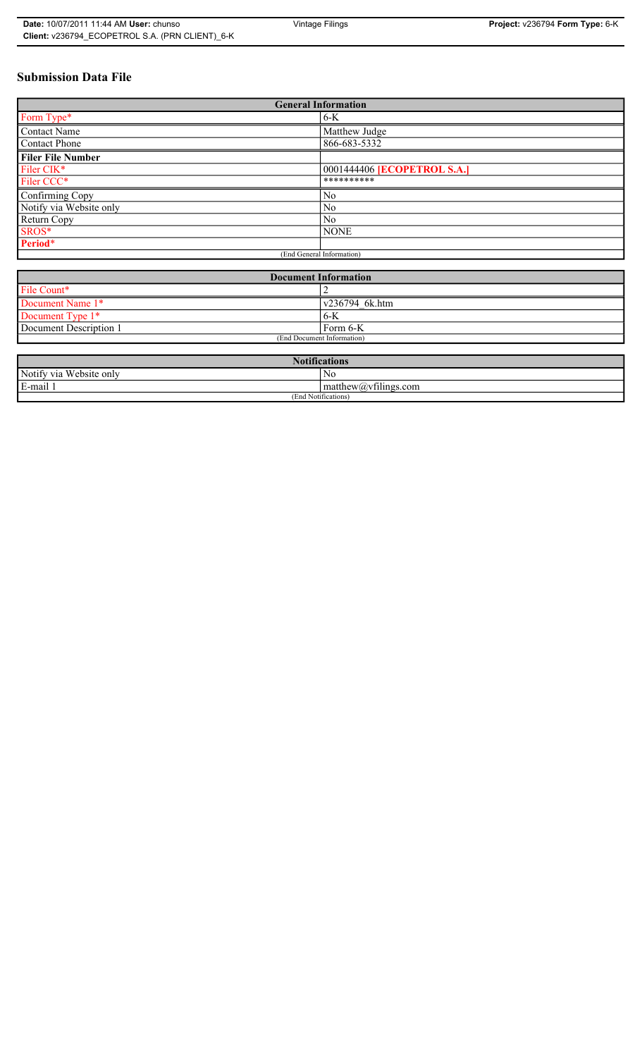# **Submission Data File**

| <b>General Information</b> |                             |  |  |
|----------------------------|-----------------------------|--|--|
| Form Type*                 | $6-K$                       |  |  |
| Contact Name               | Matthew Judge               |  |  |
| Contact Phone              | 866-683-5332                |  |  |
| <b>Filer File Number</b>   |                             |  |  |
| Filer CIK <sup>*</sup>     | 0001444406 [ECOPETROL S.A.] |  |  |
| Filer CCC*                 | **********                  |  |  |
| Confirming Copy            | N <sub>0</sub>              |  |  |
| Notify via Website only    | N <sub>0</sub>              |  |  |
| Return Copy                | N <sub>0</sub>              |  |  |
| SROS*                      | <b>NONE</b>                 |  |  |
| Period*                    |                             |  |  |
| (End General Information)  |                             |  |  |

| <b>Document Information</b> |                        |  |
|-----------------------------|------------------------|--|
| File Count*                 |                        |  |
| Document Name 1*            | $\sqrt{236794}$ 6k.htm |  |
| Document Type 1*            | $6 - K$                |  |
| Document Description 1      | $Form 6-K$             |  |
| (End Document Information)  |                        |  |

| <b>Notifications</b>         |                                                           |  |  |
|------------------------------|-----------------------------------------------------------|--|--|
| Notify via<br>ı Website onlv | No                                                        |  |  |
| E-mail                       | $\sim$ $\cdot$<br>$math>math>matrix(a)$ , $v$ tilings.com |  |  |
| (End Notifications)          |                                                           |  |  |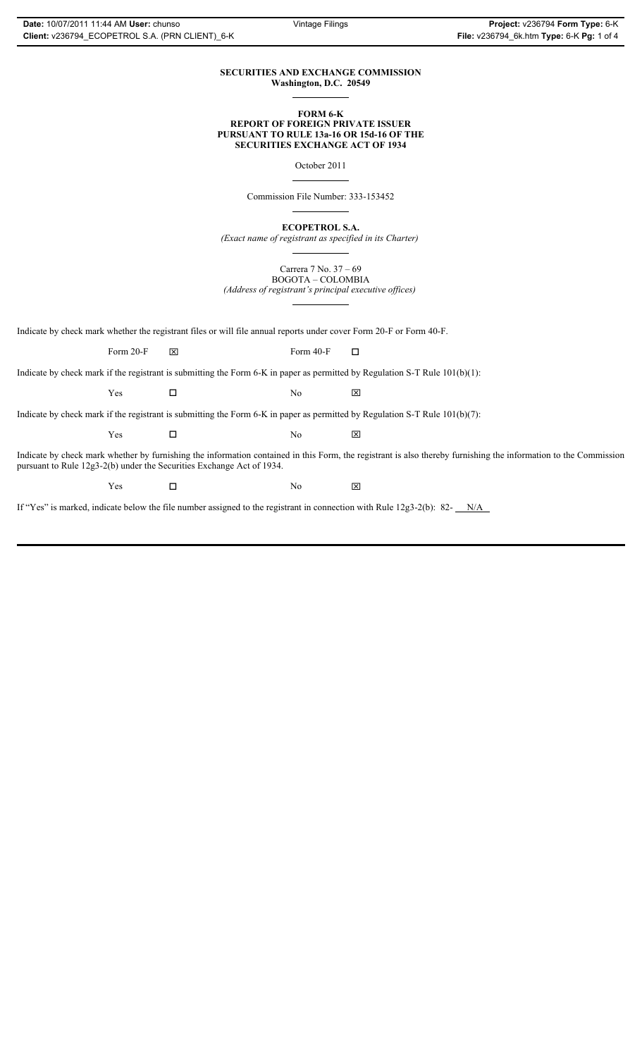#### **SECURITIES AND EXCHANGE COMMISSION Washington, D.C. 20549**

 $\overline{a}$ 

 $\overline{a}$ 

 $\overline{a}$ 

 $\overline{a}$ 

#### **FORM 6-K REPORT OF FOREIGN PRIVATE ISSUER PURSUANT TO RULE 13a-16 OR 15d-16 OF THE SECURITIES EXCHANGE ACT OF 1934**

October 2011

Commission File Number: 333-153452

**ECOPETROL S.A.**

*(Exact name of registrant as specified in its Charter)*

Carrera 7 No. 37 – 69 BOGOTA – COLOMBIA

*(Address of registrant's principal executive offices)*  $\overline{a}$ 

Indicate by check mark whether the registrant files or will file annual reports under cover Form 20-F or Form 40-F.

Form 20-F  $\boxtimes$  Form 40-F  $\Box$ 

Indicate by check mark if the registrant is submitting the Form 6-K in paper as permitted by Regulation S-T Rule 101(b)(1):

 $Yes$   $\Box$  No  $\boxtimes$ 

Indicate by check mark if the registrant is submitting the Form 6-K in paper as permitted by Regulation S-T Rule 101(b)(7):

| Yes | N <sub>0</sub> | $\overline{\mathsf{x}}$ |
|-----|----------------|-------------------------|
|     |                |                         |

Indicate by check mark whether by furnishing the information contained in this Form, the registrant is also thereby furnishing the information to the Commission pursuant to Rule 12g3-2(b) under the Securities Exchange Act of 1934.

 $Yes$   $\square$  No  $\boxtimes$ 

If "Yes" is marked, indicate below the file number assigned to the registrant in connection with Rule 12g3-2(b): 82-  $N/A$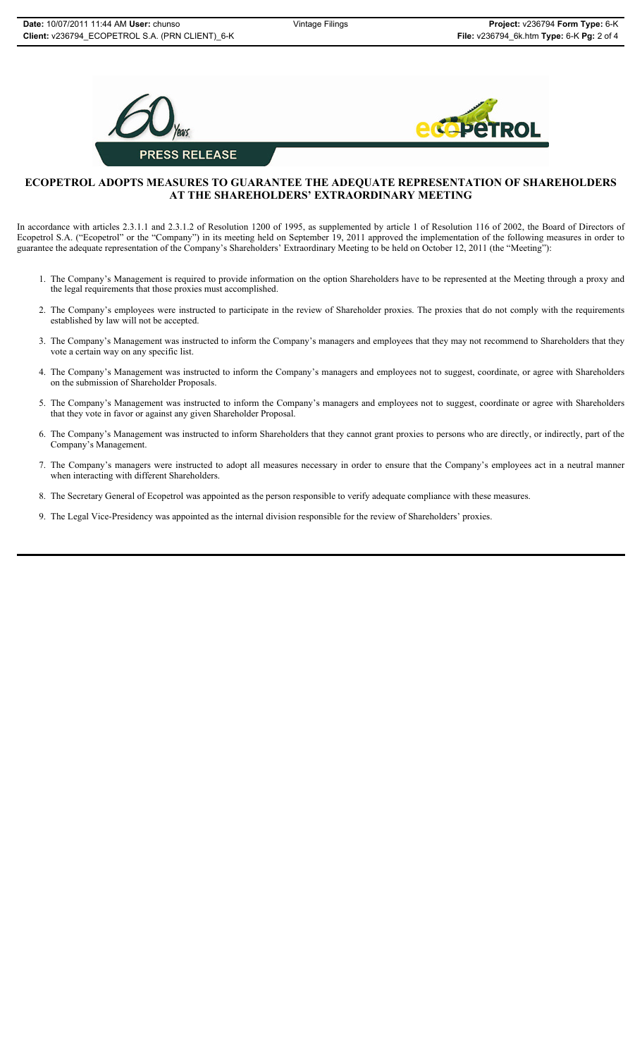



### **ECOPETROL ADOPTS MEASURES TO GUARANTEE THE ADEQUATE REPRESENTATION OF SHAREHOLDERS AT THE SHAREHOLDERS' EXTRAORDINARY MEETING**

In accordance with articles 2.3.1.1 and 2.3.1.2 of Resolution 1200 of 1995, as supplemented by article 1 of Resolution 116 of 2002, the Board of Directors of Ecopetrol S.A. ("Ecopetrol" or the "Company") in its meeting held on September 19, 2011 approved the implementation of the following measures in order to guarantee the adequate representation of the Company's Shareholders' Extraordinary Meeting to be held on October 12, 2011 (the "Meeting"):

- 1. The Company's Management is required to provide information on the option Shareholders have to be represented at the Meeting through a proxy and the legal requirements that those proxies must accomplished.
- 2. The Company's employees were instructed to participate in the review of Shareholder proxies. The proxies that do not comply with the requirements established by law will not be accepted.
- 3. The Company's Management was instructed to inform the Company's managers and employees that they may not recommend to Shareholders that they vote a certain way on any specific list.
- 4. The Company's Management was instructed to inform the Company's managers and employees not to suggest, coordinate, or agree with Shareholders on the submission of Shareholder Proposals.
- 5. The Company's Management was instructed to inform the Company's managers and employees not to suggest, coordinate or agree with Shareholders that they vote in favor or against any given Shareholder Proposal.
- 6. The Company's Management was instructed to inform Shareholders that they cannot grant proxies to persons who are directly, or indirectly, part of the Company's Management.
- 7. The Company's managers were instructed to adopt all measures necessary in order to ensure that the Company's employees act in a neutral manner when interacting with different Shareholders.
- 8. The Secretary General of Ecopetrol was appointed as the person responsible to verify adequate compliance with these measures.
- 9. The Legal Vice-Presidency was appointed as the internal division responsible for the review of Shareholders' proxies.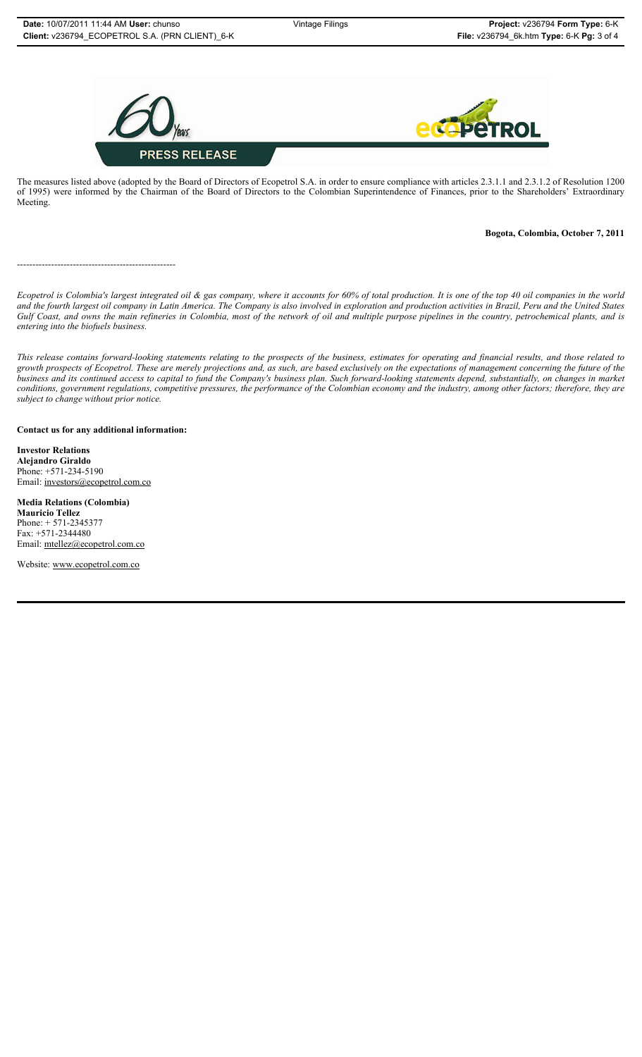

The measures listed above (adopted by the Board of Directors of Ecopetrol S.A. in order to ensure compliance with articles 2.3.1.1 and 2.3.1.2 of Resolution 1200 of 1995) were informed by the Chairman of the Board of Directors to the Colombian Superintendence of Finances, prior to the Shareholders' Extraordinary Meeting.

### **Bogota, Colombia, October 7, 2011**

---------------------------------------------------

*Ecopetrol is Colombia's largest integrated oil & gas company, where it accounts for 60% of total production. It is one of the top 40 oil companies in the world and the fourth largest oil company in Latin America. The Company is also involved in exploration and production activities in Brazil, Peru and the United States Gulf Coast, and owns the main refineries in Colombia, most of the network of oil and multiple purpose pipelines in the country, petrochemical plants, and is entering into the biofuels business.*

*This release contains forward-looking statements relating to the prospects of the business, estimates for operating and financial results, and those related to growth prospects of Ecopetrol. These are merely projections and, as such, are based exclusively on the expectations of management concerning the future of the business and its continued access to capital to fund the Company's business plan. Such forward-looking statements depend, substantially, on changes in market conditions, government regulations, competitive pressures, the performance of the Colombian economy and the industry, among other factors; therefore, they are subject to change without prior notice.*

**Contact us for any additional information:**

**Investor Relations Alejandro Giraldo** Phone: +571-234-5190 Email: investors@ecopetrol.com.co

**Media Relations (Colombia)**

**Mauricio Tellez** Phone: + 571-2345377 Fax: +571-2344480 Email: mtellez@ecopetrol.com.co

Website: www.ecopetrol.com.co